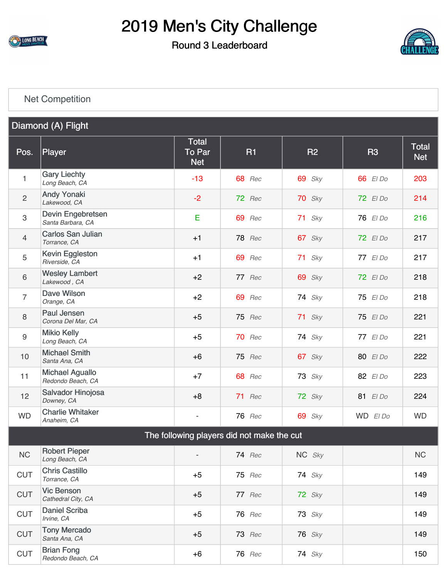

### Round 3 Leaderboard



#### [Net Competition](https://cdn2.golfgenius.com/v2tournaments/5444845909458319166)

| Diamond (A) Flight |                                             |                                             |                                            |               |           |                            |  |
|--------------------|---------------------------------------------|---------------------------------------------|--------------------------------------------|---------------|-----------|----------------------------|--|
| Pos.               | Player                                      | <b>Total</b><br><b>To Par</b><br><b>Net</b> | <b>R1</b>                                  | <b>R2</b>     | <b>R3</b> | <b>Total</b><br><b>Net</b> |  |
| 1                  | <b>Gary Liechty</b><br>Long Beach, CA       | $-13$                                       | <b>68</b> Rec                              | $69$ Sky      | 66 El Do  | 203                        |  |
| $\overline{2}$     | <b>Andy Yonaki</b><br>Lakewood, CA          | $-2$                                        | 72 Rec                                     | $70$ Sky      | 72 El Do  | 214                        |  |
| 3                  | Devin Engebretsen<br>Santa Barbara, CA      | Е                                           | <b>69</b> Rec                              | $71$ Sky      | 76 El Do  | 216                        |  |
| $\overline{4}$     | <b>Carlos San Julian</b><br>Torrance, CA    | $+1$                                        | <b>78</b> Rec                              | $67$ Sky      | 72 El Do  | 217                        |  |
| 5                  | Kevin Eggleston<br>Riverside, CA            | $+1$                                        | 69 Rec                                     | $71$ Sky      | 77 El Do  | 217                        |  |
| 6                  | <b>Wesley Lambert</b><br>Lakewood, CA       | $+2$                                        | 77 Rec                                     | <b>69</b> Sky | 72 El Do  | 218                        |  |
| $\overline{7}$     | Dave Wilson<br>Orange, CA                   | $+2$                                        | <b>69</b> Rec                              | $74$ Sky      | 75 El Do  | 218                        |  |
| 8                  | Paul Jensen<br>Corona Del Mar, CA           | $+5$                                        | 75 Rec                                     | $71$ Sky      | 75 El Do  | 221                        |  |
| $9\,$              | <b>Mikio Kelly</b><br>Long Beach, CA        | $+5$                                        | 70 Rec                                     | $74$ Sky      | 77 El Do  | 221                        |  |
| 10                 | <b>Michael Smith</b><br>Santa Ana, CA       | $+6$                                        | 75 Rec                                     | $67$ Sky      | 80 El Do  | 222                        |  |
| 11                 | <b>Michael Aguallo</b><br>Redondo Beach, CA | $+7$                                        | <b>68</b> Rec                              | $73$ Sky      | 82 El Do  | 223                        |  |
| 12                 | Salvador Hinojosa<br>Downey, CA             | $+8$                                        | 71 Rec                                     | 72 Sky        | 81 El Do  | 224                        |  |
| <b>WD</b>          | <b>Charlie Whitaker</b><br>Anaheim, CA      | $\overline{a}$                              | <b>76</b> Rec                              | <b>69</b> Sky | WD El Do  | <b>WD</b>                  |  |
|                    |                                             |                                             | The following players did not make the cut |               |           |                            |  |
| <b>NC</b>          | <b>Robert Pieper</b><br>Long Beach, CA      |                                             | 74 Rec                                     | NC Sky        |           | NC                         |  |
| <b>CUT</b>         | <b>Chris Castillo</b><br>Torrance, CA       | $+5$                                        | 75 Rec                                     | <b>74</b> Sky |           | 149                        |  |
| <b>CUT</b>         | <b>Vic Benson</b><br>Cathedral City, CA     | $+5$                                        | 77 Rec                                     | 72 Sky        |           | 149                        |  |
| <b>CUT</b>         | <b>Daniel Scriba</b><br>Irvine, CA          | $+5$                                        | <b>76</b> Rec                              | $73$ Sky      |           | 149                        |  |
| <b>CUT</b>         | <b>Tony Mercado</b><br>Santa Ana, CA        | $+5$                                        | 73 Rec                                     | <b>76</b> Sky |           | 149                        |  |
| <b>CUT</b>         | <b>Brian Fong</b><br>Redondo Beach, CA      | $+6$                                        | <b>76</b> Rec                              | <b>74</b> Sky |           | 150                        |  |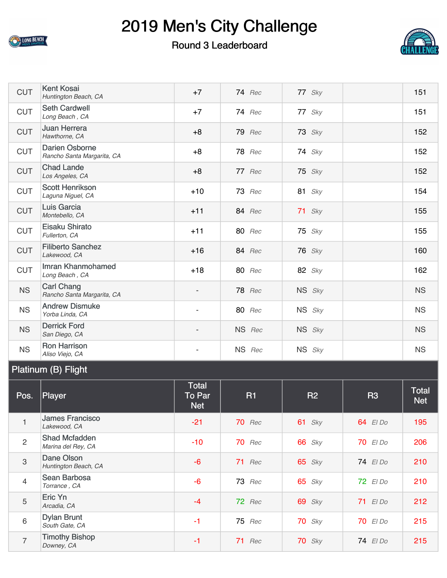

#### Round 3 Leaderboard



| <b>CUT</b> | <b>Kent Kosai</b><br>Huntington Beach, CA           | $+7$                     | <b>74</b> Rec | 77 Sky        | 151       |
|------------|-----------------------------------------------------|--------------------------|---------------|---------------|-----------|
| <b>CUT</b> | <b>Seth Cardwell</b><br>Long Beach, CA              | $+7$                     | <b>74</b> Rec | 77 Sky        | 151       |
| <b>CUT</b> | <b>Juan Herrera</b><br>Hawthorne, CA                | $+8$                     | <b>79</b> Rec | $73$ Sky      | 152       |
| <b>CUT</b> | <b>Darien Osborne</b><br>Rancho Santa Margarita, CA | $+8$                     | <b>78</b> Rec | <b>74</b> Sky | 152       |
| <b>CUT</b> | <b>Chad Lande</b><br>Los Angeles, CA                | $+8$                     | 77 Rec        | $75$ Sky      | 152       |
| <b>CUT</b> | <b>Scott Henrikson</b><br>Laguna Niguel, CA         | $+10$                    | $73$ Rec      | 81 $Sky$      | 154       |
| <b>CUT</b> | Luis Garcia<br>Montebello, CA                       | $+11$                    | <b>84</b> Rec | $71$ Sky      | 155       |
| <b>CUT</b> | Eisaku Shirato<br>Fullerton, CA                     | $+11$                    | <b>80</b> Rec | $75$ Sky      | 155       |
| <b>CUT</b> | <b>Filiberto Sanchez</b><br>Lakewood, CA            | $+16$                    | <b>84</b> Rec | <b>76</b> Sky | 160       |
| <b>CUT</b> | Imran Khanmohamed<br>Long Beach, CA                 | $+18$                    | <b>80</b> Rec | 82 Sky        | 162       |
| <b>NS</b>  | <b>Carl Chang</b><br>Rancho Santa Margarita, CA     | $\overline{\phantom{a}}$ | <b>78</b> Rec | NS Sky        | <b>NS</b> |
| <b>NS</b>  | <b>Andrew Dismuke</b><br>Yorba Linda, CA            | $\overline{a}$           | <b>80</b> Rec | NS Sky        | <b>NS</b> |
| <b>NS</b>  | <b>Derrick Ford</b><br>San Diego, CA                | $\overline{\phantom{0}}$ | NS Rec        | NS Sky        | <b>NS</b> |
| <b>NS</b>  | <b>Ron Harrison</b><br>Aliso Viejo, CA              |                          | NS Rec        | NS Sky        | <b>NS</b> |

### Platinum (B) Flight

| Pos.           | Player                                     | <b>Total</b><br><b>To Par</b><br><b>Net</b> | <b>R1</b>     | <b>R2</b>     | <b>R3</b>       | <b>Total</b><br><b>Net</b> |
|----------------|--------------------------------------------|---------------------------------------------|---------------|---------------|-----------------|----------------------------|
| $\mathbf{1}$   | <b>James Francisco</b><br>Lakewood, CA     | $-21$                                       | <b>70</b> Rec | 61 $Sky$      | 64 El Do        | 195                        |
| $\overline{2}$ | <b>Shad Mcfadden</b><br>Marina del Rey, CA | $-10$                                       | <b>70</b> Rec | <b>66</b> Sky | $70$ El Do      | 206                        |
| $\sqrt{3}$     | Dane Olson<br>Huntington Beach, CA         | $-6$                                        | $71$ Rec      | $65$ Sky      | 74 El Do        | 210                        |
| $\overline{4}$ | Sean Barbosa<br>Torrance, CA               | $-6$                                        | <b>73</b> Rec | $65$ Sky      | 72 El Do        | 210                        |
| 5              | Eric Yn<br>Arcadia, CA                     | $-4$                                        | 72 Rec        | $69$ Sky      | 71 EIDo         | 212                        |
| $\,6\,$        | <b>Dylan Brunt</b><br>South Gate, CA       | $-1$                                        | <b>75</b> Rec | $70$ Sky      | <b>70</b> El Do | 215                        |
| $\overline{7}$ | <b>Timothy Bishop</b><br>Downey, CA        | $-1$                                        | 71 Rec        | $70$ Sky      | 74 El Do        | 215                        |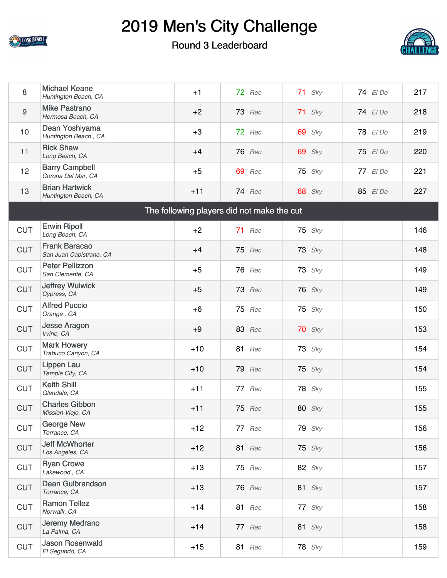

### Round 3 Leaderboard



| 8          | <b>Michael Keane</b><br>Huntington Beach, CA    | $+1$  | 72 Rec                                     | $71$ Sky      | 74 El Do | 217 |
|------------|-------------------------------------------------|-------|--------------------------------------------|---------------|----------|-----|
| 9          | <b>Mike Pastrano</b><br>Hermosa Beach, CA       | $+2$  | <b>73</b> Rec                              | $71$ Sky      | 74 El Do | 218 |
| 10         | Dean Yoshiyama<br>Huntington Beach, CA          | $+3$  | 72 Rec                                     | $69$ Sky      | 78 El Do | 219 |
| 11         | <b>Rick Shaw</b><br>Long Beach, CA              | $+4$  | <b>76</b> Rec                              | $69$ Sky      | 75 El Do | 220 |
| 12         | <b>Barry Campbell</b><br>Corona Del Mar, CA     | $+5$  | 69 Rec                                     | $75$ Sky      | 77 El Do | 221 |
| 13         | <b>Brian Hartwick</b><br>Huntington Beach, CA   | $+11$ | <b>74</b> Rec                              | <b>68</b> Sky | 85 El Do | 227 |
|            |                                                 |       | The following players did not make the cut |               |          |     |
| <b>CUT</b> | <b>Erwin Ripoll</b><br>Long Beach, CA           | $+2$  | 71 Rec                                     | $75$ Sky      |          | 146 |
| <b>CUT</b> | <b>Frank Baracao</b><br>San Juan Capistrano, CA | $+4$  | <b>75</b> Rec                              | $73$ Sky      |          | 148 |
| <b>CUT</b> | <b>Peter Pellizzon</b><br>San Clemente, CA      | $+5$  | <b>76</b> Rec                              | $73$ Sky      |          | 149 |
| <b>CUT</b> | <b>Jeffrey Wulwick</b><br>Cypress, CA           | $+5$  | <b>73</b> Rec                              | <b>76</b> Sky |          | 149 |
| <b>CUT</b> | <b>Alfred Puccio</b><br>Orange, CA              | $+6$  | <b>75</b> Rec                              | $75$ Sky      |          | 150 |
| <b>CUT</b> | <b>Jesse Aragon</b><br>Irvine, CA               | $+9$  | <b>83</b> Rec                              | $70$ Sky      |          | 153 |
| <b>CUT</b> | <b>Mark Howery</b><br>Trabuco Canyon, CA        | $+10$ | <b>81</b> Rec                              | $73$ Sky      |          | 154 |
| <b>CUT</b> | <b>Lippen Lau</b><br>Temple City, CA            | $+10$ | <b>79</b> Rec                              | $75$ Sky      |          | 154 |
| <b>CUT</b> | <b>Keith Shill</b><br>Glendale, CA              | $+11$ | 77 Rec                                     | $78$ Sky      |          | 155 |
| <b>CUT</b> | <b>Charles Gibbon</b><br>Mission Viejo, CA      | $+11$ | <b>75</b> Rec                              | <b>80</b> Sky |          | 155 |
| <b>CUT</b> | <b>George New</b><br>Torrance, CA               | $+12$ | 77 Rec                                     | $79$ Sky      |          | 156 |
| <b>CUT</b> | <b>Jeff McWhorter</b><br>Los Angeles, CA        | $+12$ | <b>81</b> Rec                              | $75$ Sky      |          | 156 |
| <b>CUT</b> | <b>Ryan Crowe</b><br>Lakewood, CA               | $+13$ | 75 Rec                                     | 82 $Sky$      |          | 157 |
| <b>CUT</b> | <b>Dean Gulbrandson</b><br>Torrance, CA         | $+13$ | <b>76</b> Rec                              | 81 $Sky$      |          | 157 |
| <b>CUT</b> | <b>Ramon Tellez</b><br>Norwalk, CA              | $+14$ | <b>81</b> Rec                              | 77 Sky        |          | 158 |
| <b>CUT</b> | Jeremy Medrano<br>La Palma, CA                  | $+14$ | 77 Rec                                     | 81 $Sky$      |          | 158 |
| <b>CUT</b> | <b>Jason Rosenwald</b><br>El Segundo, CA        | $+15$ | <b>81</b> Rec                              | <b>78</b> Sky |          | 159 |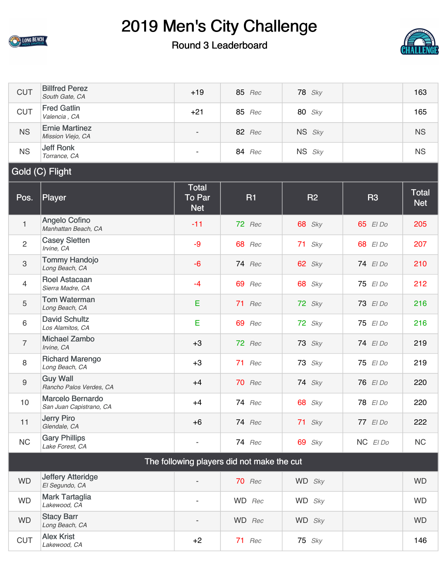

7

8

9

[Michael Zambo](https://cdn2.golfgenius.com/tournaments2/details/5497258411399608237)<br>Irvine, CA

[Richard Marengo](https://cdn2.golfgenius.com/tournaments2/details/5497258411399608242)<br>Long Beach, CA

[Guy Wall](https://cdn2.golfgenius.com/tournaments2/details/5497258411433162685)

## 2019 Men's City Challenge

#### Round 3 Leaderboard



| <b>CUT</b>      | <b>Billfred Perez</b><br>South Gate, CA     | $+19$                                       | <b>85</b> Rec | <b>78</b> Sky |           | 163                        |
|-----------------|---------------------------------------------|---------------------------------------------|---------------|---------------|-----------|----------------------------|
| <b>CUT</b>      | <b>Fred Gatlin</b><br>Valencia, CA          | $+21$                                       | <b>85</b> Rec | <b>80</b> Sky |           | 165                        |
| <b>NS</b>       | <b>Ernie Martinez</b><br>Mission Viejo, CA  | $\overline{\phantom{a}}$                    | <b>82</b> Rec | NS Sky        |           | <b>NS</b>                  |
| <b>NS</b>       | <b>Jeff Ronk</b><br>Torrance, CA            | $\overline{\phantom{a}}$                    | <b>84</b> Rec | NS Sky        |           | <b>NS</b>                  |
| Gold (C) Flight |                                             |                                             |               |               |           |                            |
| Pos.            | Player                                      | <b>Total</b><br><b>To Par</b><br><b>Net</b> | <b>R1</b>     | <b>R2</b>     | <b>R3</b> | <b>Total</b><br><b>Net</b> |
|                 |                                             |                                             |               |               |           |                            |
| $\mathbf{1}$    | <b>Angelo Cofino</b><br>Manhattan Beach, CA | $-11$                                       | 72 Rec        | <b>68</b> Sky | 65 El Do  | 205                        |
| 2               | <b>Casey Sletten</b><br>Irvine, CA          | $-9$                                        | <b>68</b> Rec | $71$ Sky      | 68 El Do  | 207                        |
| 3               | <b>Tommy Handojo</b><br>Long Beach, CA      | $-6$                                        | <b>74</b> Rec | $62$ Sky      | 74 El Do  | 210                        |
| $\overline{4}$  | <b>Roel Astacaan</b><br>Sierra Madre, CA    | $-4$                                        | 69 Rec        | <b>68</b> Sky | 75 El Do  | 212                        |
| 5               | <b>Tom Waterman</b><br>Long Beach, CA       | E                                           | 71 Rec        | 72 Sky        | 73 El Do  | 216                        |

| 10                                         | Marcelo Bernardo<br>San Juan Capistrano, CA | $+4$                     | $74$ Rec      | <b>68</b> Sky | 78 El Do   | 220       |  |
|--------------------------------------------|---------------------------------------------|--------------------------|---------------|---------------|------------|-----------|--|
| 11                                         | Jerry Piro<br>Glendale, CA                  | +6                       | <b>74</b> Rec | $71$ Sky      | $77$ El Do | 222       |  |
| NC                                         | <b>Gary Phillips</b><br>Lake Forest, CA     | $\overline{\phantom{a}}$ | <b>74</b> Rec | $69$ Sky      | $NC$ $EDO$ | <b>NC</b> |  |
| The following players did not make the cut |                                             |                          |               |               |            |           |  |
| <b>WD</b>                                  | <b>Jeffery Atteridge</b><br>El Segundo, CA  | $\overline{a}$           | <b>70</b> Rec | WD Sky        |            | <b>WD</b> |  |
| <b>WD</b>                                  | <b>Mark Tartaglia</b><br>Lakewood, CA       | $\overline{\phantom{a}}$ | WD Rec        | WD Sky        |            | <b>WD</b> |  |
| <b>WD</b>                                  | <b>Stacy Barr</b><br>Long Beach, CA         | $\overline{\phantom{a}}$ | WD Rec        | WD Sky        |            | <b>WD</b> |  |
| <b>CUT</b>                                 | <b>Alex Krist</b><br>Lakewood, CA           | $+2$                     | 71<br>Rec     | $75$ Sky      |            | 146       |  |

*Irvine, CA* +3 <sup>72</sup> *Rec* <sup>73</sup> *Sky* <sup>74</sup> *El Do* <sup>219</sup>

*Long Beach, CA* +3 <sup>71</sup> *Rec* <sup>73</sup> *Sky* <sup>75</sup> *El Do* <sup>219</sup>

*Rancho Palos Verdes, CA* +4 <sup>70</sup> *Rec* <sup>74</sup> *Sky* <sup>76</sup> *El Do* <sup>220</sup>